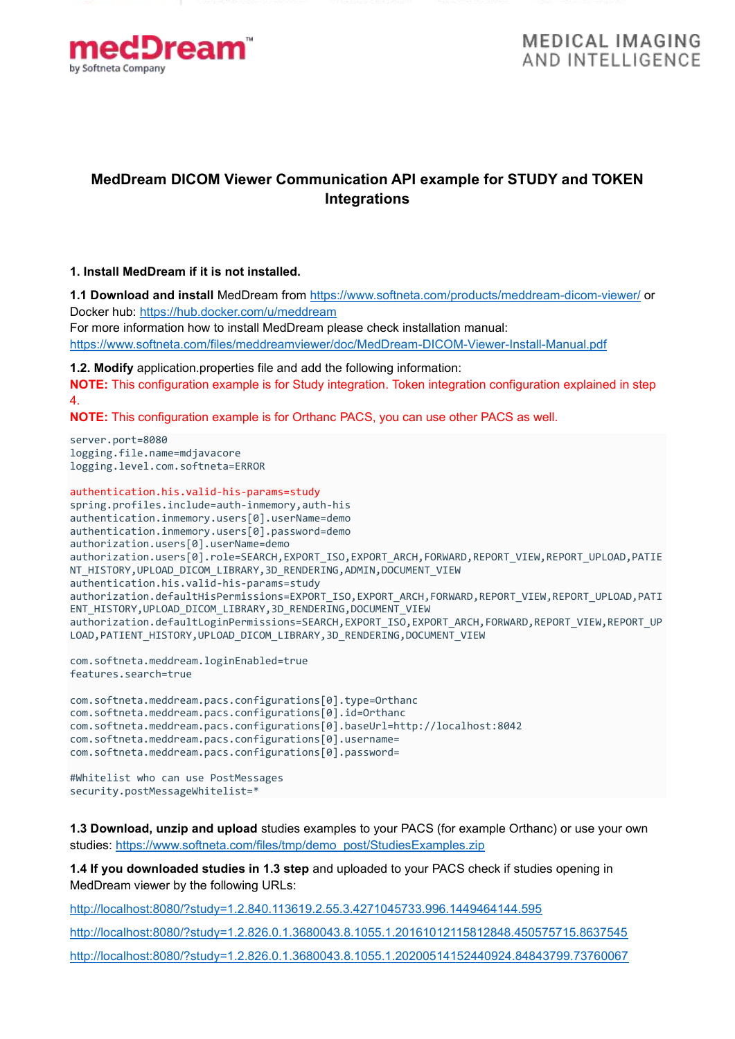

**MEDICAL IMAGING AND INTELLIGENCE** 

# **MedDream DICOM Viewer Communication API example for STUDY and TOKEN Integrations**

#### **1. Install MedDream if it is not installed.**

**1.1 Download and install** MedDream from<https://www.softneta.com/products/meddream-dicom-viewer/> or Docker hub:<https://hub.docker.com/u/meddream>

For more information how to install MedDream please check installation manual: <https://www.softneta.com/files/meddreamviewer/doc/MedDream-DICOM-Viewer-Install-Manual.pdf>

**1.2. Modify** application.properties file and add the following information: **NOTE:** This configuration example is for Study integration. Token integration configuration explained in step 4.

**NOTE:** This configuration example is for Orthanc PACS, you can use other PACS as well.

server.port=8080 logging.file.name=mdjavacore logging.level.com.softneta=ERROR

```
authentication.his.valid-his-params=study
spring.profiles.include=auth-inmemory,auth-his
authentication.inmemory.users[0].userName=demo
authentication.inmemory.users[0].password=demo
authorization.users[0].userName=demo
authorization.users[0].role=SEARCH,EXPORT_ISO,EXPORT_ARCH,FORWARD,REPORT_VIEW,REPORT_UPLOAD,PATIE
NT_HISTORY,UPLOAD_DICOM_LIBRARY,3D_RENDERING,ADMIN,DOCUMENT_VIEW
authentication.his.valid-his-params=study
authorization.defaultHisPermissions=EXPORT_ISO,EXPORT_ARCH,FORWARD,REPORT_VIEW,REPORT_UPLOAD,PATI
ENT_HISTORY,UPLOAD_DICOM_LIBRARY,3D_RENDERING,DOCUMENT_VIEW
authorization.defaultLoginPermissions=SEARCH,EXPORT_ISO,EXPORT_ARCH,FORWARD,REPORT_VIEW,REPORT_UP
LOAD, PATIENT_HISTORY, UPLOAD_DICOM_LIBRARY, 3D_RENDERING, DOCUMENT_VIEW
```

```
com.softneta.meddream.loginEnabled=true
features.search=true
```
com.softneta.meddream.pacs.configurations[0].type=Orthanc com.softneta.meddream.pacs.configurations[0].id=Orthanc com.softneta.meddream.pacs.configurations[0].baseUrl=http://localhost:8042 com.softneta.meddream.pacs.configurations[0].username= com.softneta.meddream.pacs.configurations[0].password=

```
#Whitelist who can use PostMessages
security.postMessageWhitelist=*
```
**1.3 Download, unzip and upload** studies examples to your PACS (for example Orthanc) or use your own studies: [https://www.softneta.com/files/tmp/demo\\_post/StudiesExamples.zip](https://www.softneta.com/files/tmp/demo_post/StudiesExamples.zip) 

**1.4 If you downloaded studies in 1.3 step** and uploaded to your PACS check if studies opening in MedDream viewer by the following URLs:

<http://localhost:8080/?study=1.2.840.113619.2.55.3.4271045733.996.1449464144.595>

<http://localhost:8080/?study=1.2.826.0.1.3680043.8.1055.1.20161012115812848.450575715.8637545> <http://localhost:8080/?study=1.2.826.0.1.3680043.8.1055.1.20200514152440924.84843799.73760067>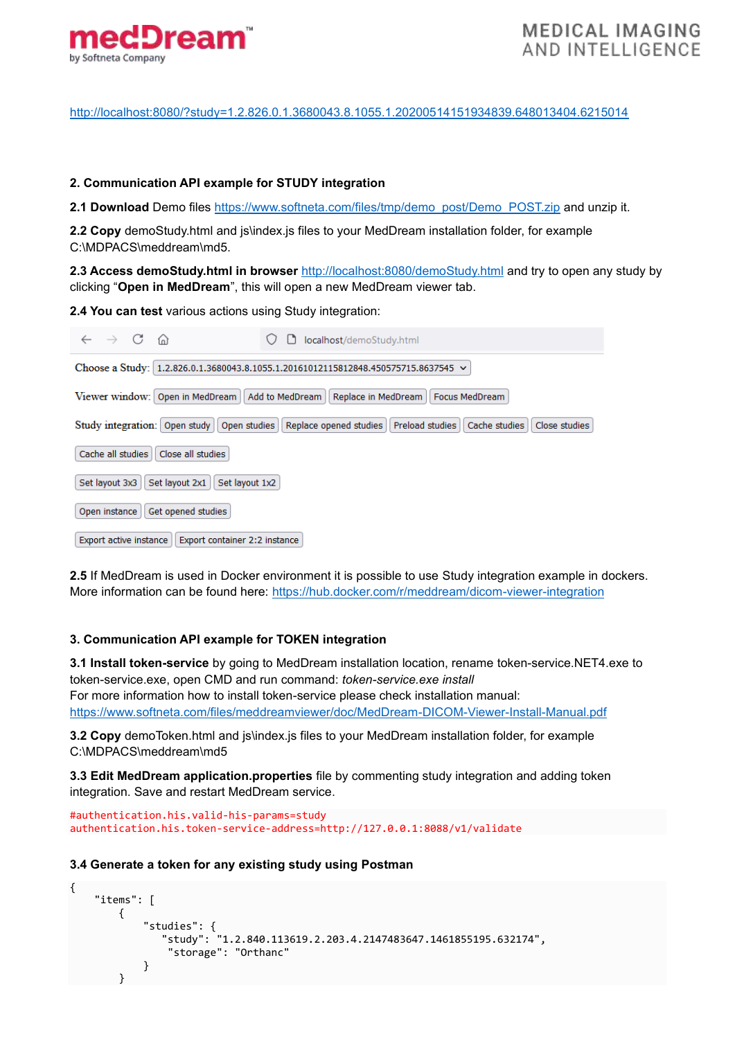

<http://localhost:8080/?study=1.2.826.0.1.3680043.8.1055.1.20200514151934839.648013404.6215014>

### **2. Communication API example for STUDY integration**

2.1 Download Demo files [https://www.softneta.com/files/tmp/demo\\_post/Demo\\_POST.zip](https://www.softneta.com/files/tmp/demo_post/Demo_POST.zip) and unzip it.

2.2 Copy demoStudy.html and js\index.js files to your MedDream installation folder, for example C:\MDPACS\meddream\md5.

**2.3 Access demoStudy.html in browser** <http://localhost:8080/demoStudy.html> and try to open any study by clicking "**Open in MedDream**", this will open a new MedDream viewer tab.

**2.4 You can test** various actions using Study integration:

| $\rightarrow$ C<br>ିଲ<br>localhost/demoStudy.html                                                                               |
|---------------------------------------------------------------------------------------------------------------------------------|
| Choose a Study: 1.2.826.0.1.3680043.8.1055.1.20161012115812848.450575715.8637545 $\vee$                                         |
| Viewer window: Open in MedDream<br>Add to MedDream<br>Replace in MedDream<br>Focus MedDream                                     |
| Study integration:<br>Open study<br>Replace opened studies<br>Preload studies<br>Open studies<br>Cache studies<br>Close studies |
| Cache all studies<br>Close all studies                                                                                          |
| Set layout 2x1<br>Set layout 1x2<br>Set layout 3x3                                                                              |
| Get opened studies<br>Open instance                                                                                             |
| Export active instance<br>Export container 2:2 instance                                                                         |

**2.5** If MedDream is used in Docker environment it is possible to use Study integration example in dockers. More information can be found here:<https://hub.docker.com/r/meddream/dicom-viewer-integration>

## **3. Communication API example for TOKEN integration**

**3.1 Install token-service** by going to MedDream installation location, rename token-service.NET4.exe to token-service.exe, open CMD and run command: *token-service.exe install* For more information how to install token-service please check installation manual: <https://www.softneta.com/files/meddreamviewer/doc/MedDream-DICOM-Viewer-Install-Manual.pdf>

**3.2 Copy** demoToken.html and js\index.js files to your MedDream installation folder, for example C:\MDPACS\meddream\md5

**3.3 Edit MedDream application.properties** file by commenting study integration and adding token integration. Save and restart MedDream service.

```
#authentication.his.valid-his-params=study
authentication.his.token-service-address=http://127.0.0.1:8088/v1/validate
```
#### **3.4 Generate a token for any existing study using Postman**

```
{
     "items": [
         {
             "studies": {
               "study": "1.2.840.113619.2.203.4.2147483647.1461855195.632174",
                "storage": "Orthanc"
 }
        }
```